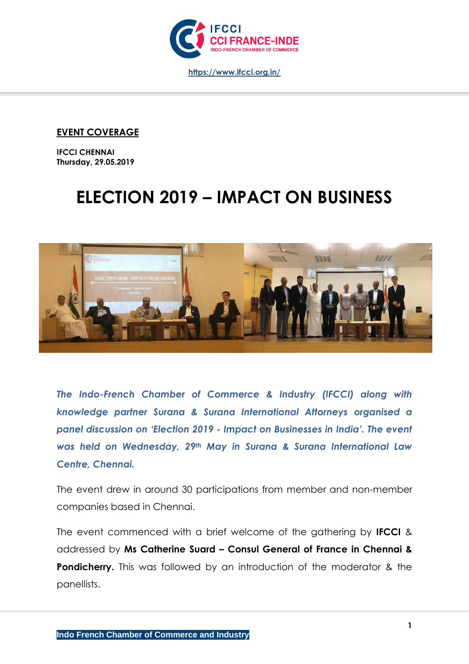

## **EVENT COVERAGE**

**IFCCI CHENNAI Thursday, 29.05.2019**

## **ELECTION 2019 – IMPACT ON BUSINESS**



*The Indo-French Chamber of Commerce & Industry (IFCCI) along with knowledge partner Surana & Surana International Attorneys organised a panel discussion on 'Election 2019 - Impact on Businesses in India'. The event was held on Wednesday, 29th May in Surana & Surana International Law Centre, Chennai.*

The event drew in around 30 participations from member and non-member companies based in Chennai.

The event commenced with a brief welcome of the gathering by **IFCCI** & addressed by **Ms Catherine Suard – Consul General of France in Chennai & Pondicherry.** This was followed by an introduction of the moderator & the panellists.